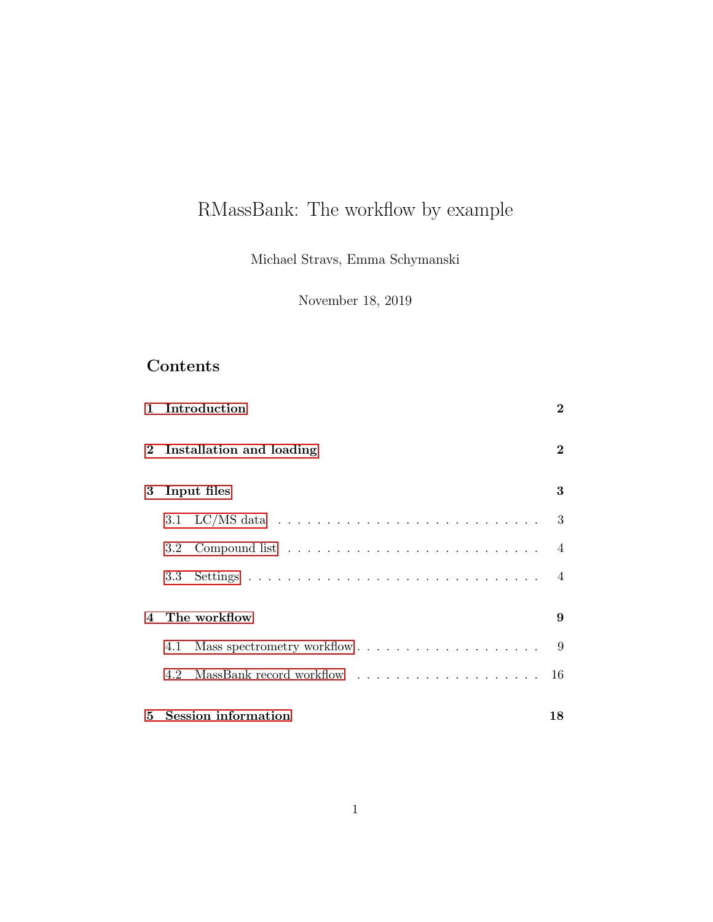# RMassBank: The workflow by example

Michael Stravs, Emma Schymanski

November 18, 2019

## Contents

| $\mathbf{1}$ | Introduction             | $\bf{2}$       |  |  |  |
|--------------|--------------------------|----------------|--|--|--|
| $\bf{2}$     | Installation and loading | $\bf{2}$       |  |  |  |
| 3            | Input files              |                |  |  |  |
|              |                          | 3              |  |  |  |
|              | 3.2                      | $\overline{4}$ |  |  |  |
|              |                          |                |  |  |  |
| 4            | The workflow             |                |  |  |  |
|              | 4.1                      |                |  |  |  |
|              |                          |                |  |  |  |
| 5            | Session information      | 18             |  |  |  |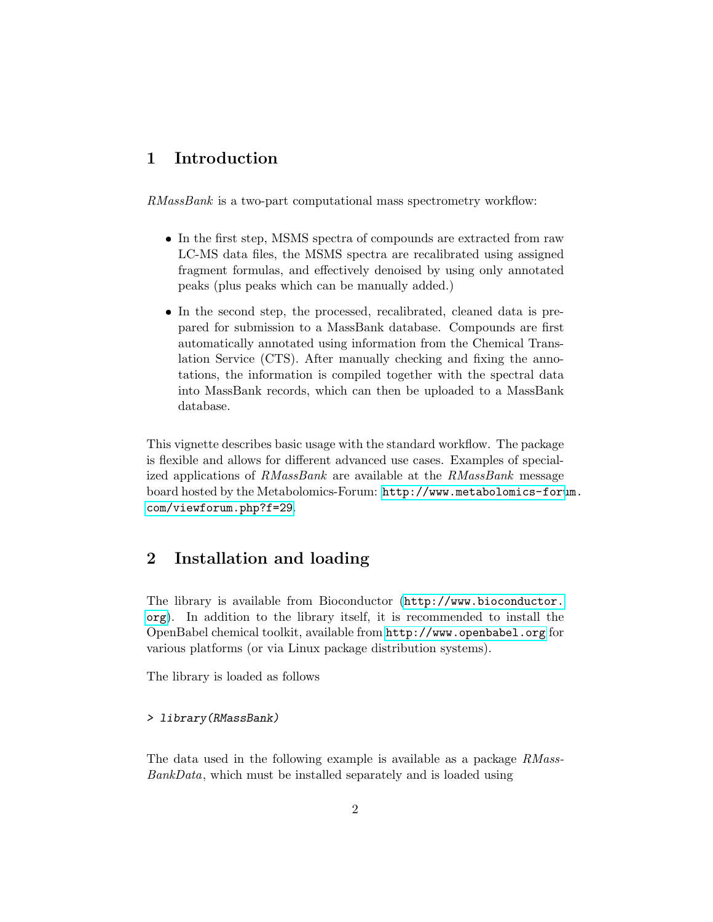### <span id="page-1-0"></span>1 Introduction

RMassBank is a two-part computational mass spectrometry workflow:

- In the first step, MSMS spectra of compounds are extracted from raw LC-MS data files, the MSMS spectra are recalibrated using assigned fragment formulas, and effectively denoised by using only annotated peaks (plus peaks which can be manually added.)
- In the second step, the processed, recalibrated, cleaned data is prepared for submission to a MassBank database. Compounds are first automatically annotated using information from the Chemical Translation Service (CTS). After manually checking and fixing the annotations, the information is compiled together with the spectral data into MassBank records, which can then be uploaded to a MassBank database.

This vignette describes basic usage with the standard workflow. The package is flexible and allows for different advanced use cases. Examples of specialized applications of RMassBank are available at the RMassBank message board hosted by the Metabolomics-Forum: [http://www.metabolomics-foru](http://www.metabolomics-forum.com/viewforum.php?f=29)m. [com/viewforum.php?f=29](http://www.metabolomics-forum.com/viewforum.php?f=29).

### <span id="page-1-1"></span>2 Installation and loading

The library is available from Bioconductor ([http://www.bioconductor.](http://www.bioconductor.org) [org](http://www.bioconductor.org)). In addition to the library itself, it is recommended to install the OpenBabel chemical toolkit, available from <http://www.openbabel.org> for various platforms (or via Linux package distribution systems).

The library is loaded as follows

#### > library(RMassBank)

The data used in the following example is available as a package RMass-BankData, which must be installed separately and is loaded using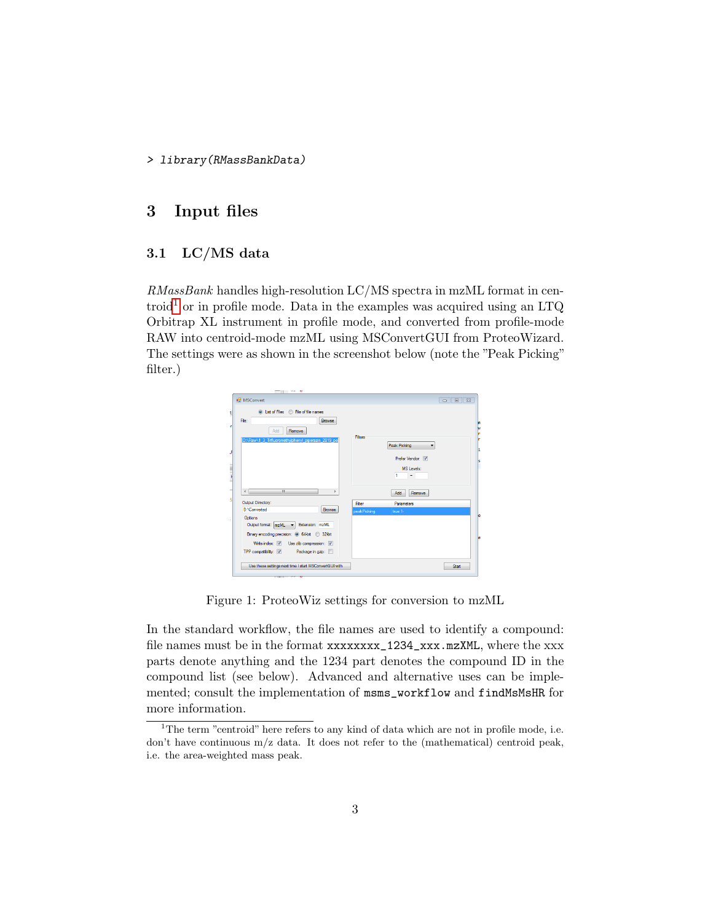> library(RMassBankData)

### <span id="page-2-0"></span>3 Input files

### <span id="page-2-1"></span>3.1 LC/MS data

RMassBank handles high-resolution LC/MS spectra in mzML format in cen-troid<sup>[1](#page-2-2)</sup> or in profile mode. Data in the examples was acquired using an LTQ Orbitrap XL instrument in profile mode, and converted from profile-mode RAW into centroid-mode mzML using MSConvertGUI from ProteoWizard. The settings were as shown in the screenshot below (note the "Peak Picking" filter.)



Figure 1: ProteoWiz settings for conversion to mzML

In the standard workflow, the file names are used to identify a compound: file names must be in the format xxxxxxxx\_1234\_xxx.mzXML, where the xxx parts denote anything and the 1234 part denotes the compound ID in the compound list (see below). Advanced and alternative uses can be implemented; consult the implementation of msms\_workflow and findMsMsHR for more information.

<span id="page-2-2"></span><sup>&</sup>lt;sup>1</sup>The term "centroid" here refers to any kind of data which are not in profile mode, i.e. don't have continuous  $m/z$  data. It does not refer to the (mathematical) centroid peak, i.e. the area-weighted mass peak.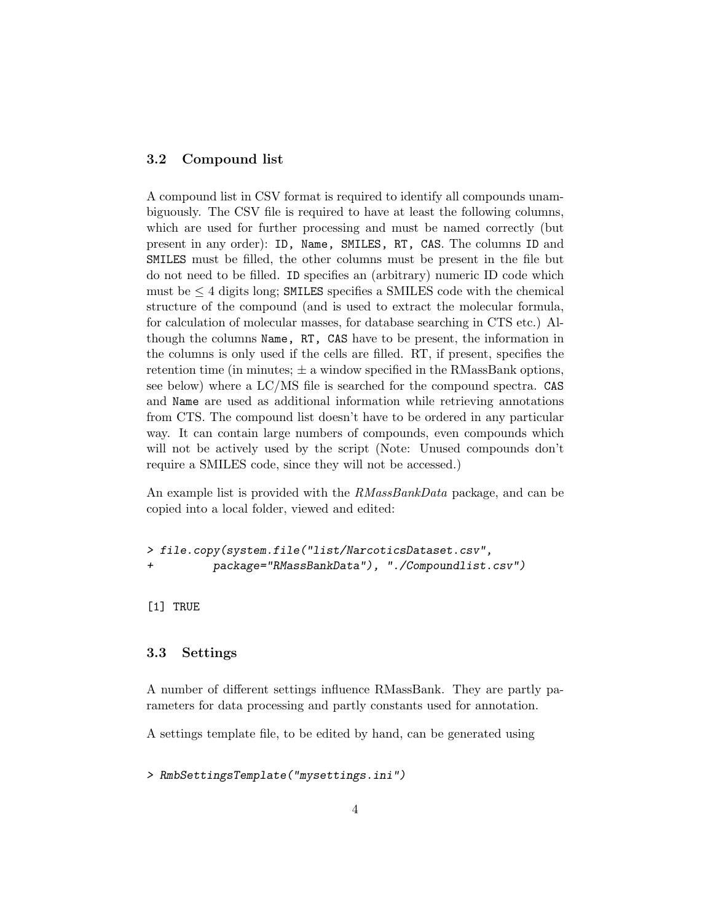### <span id="page-3-0"></span>3.2 Compound list

A compound list in CSV format is required to identify all compounds unambiguously. The CSV file is required to have at least the following columns, which are used for further processing and must be named correctly (but present in any order): ID, Name, SMILES, RT, CAS. The columns ID and SMILES must be filled, the other columns must be present in the file but do not need to be filled. ID specifies an (arbitrary) numeric ID code which must be  $\leq 4$  digits long; SMILES specifies a SMILES code with the chemical structure of the compound (and is used to extract the molecular formula, for calculation of molecular masses, for database searching in CTS etc.) Although the columns Name, RT, CAS have to be present, the information in the columns is only used if the cells are filled. RT, if present, specifies the retention time (in minutes;  $\pm$  a window specified in the RMassBank options, see below) where a LC/MS file is searched for the compound spectra. CAS and Name are used as additional information while retrieving annotations from CTS. The compound list doesn't have to be ordered in any particular way. It can contain large numbers of compounds, even compounds which will not be actively used by the script (Note: Unused compounds don't require a SMILES code, since they will not be accessed.)

An example list is provided with the RMassBankData package, and can be copied into a local folder, viewed and edited:

```
> file.copy(system.file("list/NarcoticsDataset.csv",
         package="RMassBankData"), "./Compoundlist.csv")
```
[1] TRUE

### <span id="page-3-1"></span>3.3 Settings

A number of different settings influence RMassBank. They are partly parameters for data processing and partly constants used for annotation.

A settings template file, to be edited by hand, can be generated using

> RmbSettingsTemplate("mysettings.ini")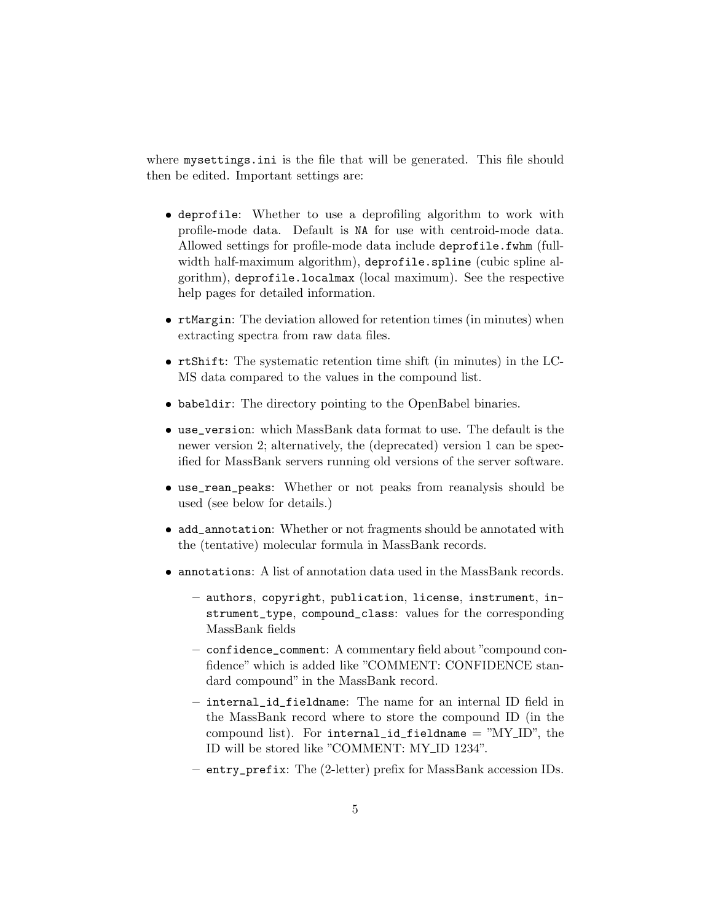where mysettings.ini is the file that will be generated. This file should then be edited. Important settings are:

- deprofile: Whether to use a deprofiling algorithm to work with profile-mode data. Default is NA for use with centroid-mode data. Allowed settings for profile-mode data include deprofile.fwhm (fullwidth half-maximum algorithm), deprofile.spline (cubic spline algorithm), deprofile.localmax (local maximum). See the respective help pages for detailed information.
- rtMargin: The deviation allowed for retention times (in minutes) when extracting spectra from raw data files.
- rtShift: The systematic retention time shift (in minutes) in the LC-MS data compared to the values in the compound list.
- babeldir: The directory pointing to the OpenBabel binaries.
- use\_version: which MassBank data format to use. The default is the newer version 2; alternatively, the (deprecated) version 1 can be specified for MassBank servers running old versions of the server software.
- use\_rean\_peaks: Whether or not peaks from reanalysis should be used (see below for details.)
- add\_annotation: Whether or not fragments should be annotated with the (tentative) molecular formula in MassBank records.
- annotations: A list of annotation data used in the MassBank records.
	- authors, copyright, publication, license, instrument, instrument\_type, compound\_class: values for the corresponding MassBank fields
	- confidence\_comment: A commentary field about "compound confidence" which is added like "COMMENT: CONFIDENCE standard compound" in the MassBank record.
	- internal\_id\_fieldname: The name for an internal ID field in the MassBank record where to store the compound ID (in the compound list). For internal id fieldname  $=$  "MY ID", the ID will be stored like "COMMENT: MY ID 1234".
	- entry\_prefix: The (2-letter) prefix for MassBank accession IDs.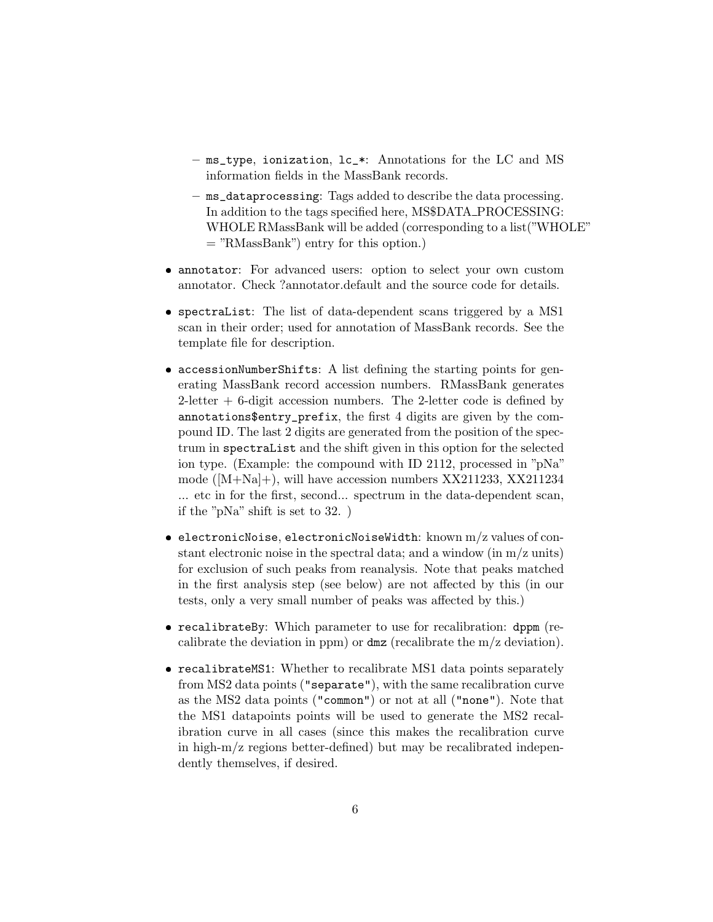- ms\_type, ionization, lc\_\*: Annotations for the LC and MS information fields in the MassBank records.
- ms\_dataprocessing: Tags added to describe the data processing. In addition to the tags specified here, MS\$DATA PROCESSING: WHOLE RMassBank will be added (corresponding to a list("WHOLE" = "RMassBank") entry for this option.)
- annotator: For advanced users: option to select your own custom annotator. Check ?annotator.default and the source code for details.
- spectraList: The list of data-dependent scans triggered by a MS1 scan in their order; used for annotation of MassBank records. See the template file for description.
- accessionNumberShifts: A list defining the starting points for generating MassBank record accession numbers. RMassBank generates  $2$ -letter  $+ 6$ -digit accession numbers. The 2-letter code is defined by annotations\$entry\_prefix, the first 4 digits are given by the compound ID. The last 2 digits are generated from the position of the spectrum in spectraList and the shift given in this option for the selected ion type. (Example: the compound with ID 2112, processed in "pNa" mode ([M+Na]+), will have accession numbers XX211233, XX211234 ... etc in for the first, second... spectrum in the data-dependent scan, if the "pNa" shift is set to 32. )
- $\bullet$  electronicNoise, electronicNoiseWidth: known m/z values of constant electronic noise in the spectral data; and a window (in  $m/z$  units) for exclusion of such peaks from reanalysis. Note that peaks matched in the first analysis step (see below) are not affected by this (in our tests, only a very small number of peaks was affected by this.)
- recalibrateBy: Which parameter to use for recalibration: dppm (recalibrate the deviation in ppm) or dmz (recalibrate the m/z deviation).
- recalibrateMS1: Whether to recalibrate MS1 data points separately from MS2 data points ("separate"), with the same recalibration curve as the MS2 data points ("common") or not at all ("none"). Note that the MS1 datapoints points will be used to generate the MS2 recalibration curve in all cases (since this makes the recalibration curve in high-m/z regions better-defined) but may be recalibrated independently themselves, if desired.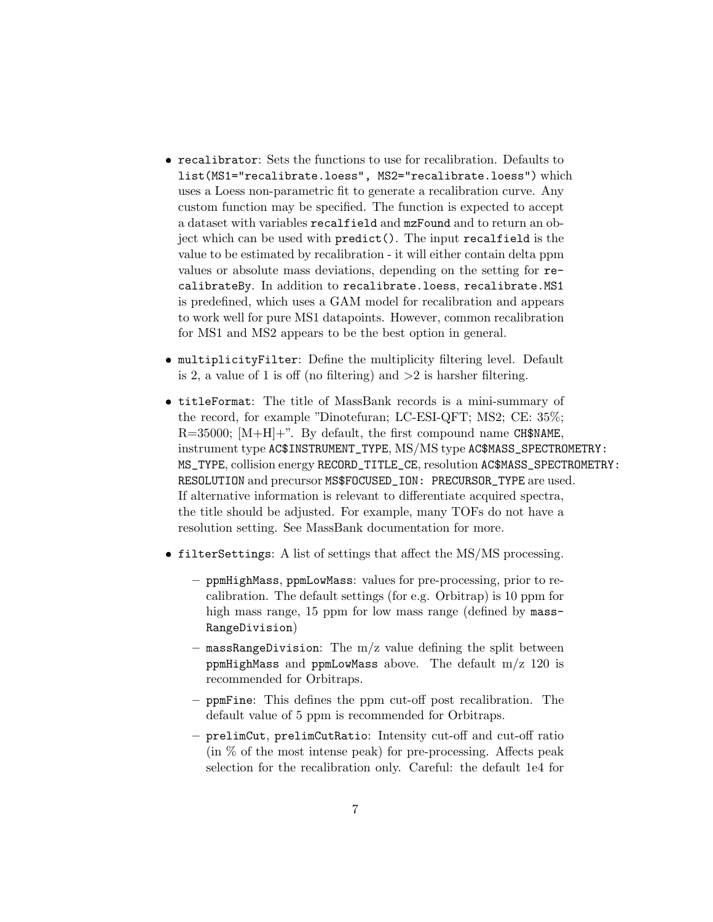- recalibrator: Sets the functions to use for recalibration. Defaults to list(MS1="recalibrate.loess", MS2="recalibrate.loess") which uses a Loess non-parametric fit to generate a recalibration curve. Any custom function may be specified. The function is expected to accept a dataset with variables recalfield and mzFound and to return an object which can be used with predict(). The input recalfield is the value to be estimated by recalibration - it will either contain delta ppm values or absolute mass deviations, depending on the setting for recalibrateBy. In addition to recalibrate.loess, recalibrate.MS1 is predefined, which uses a GAM model for recalibration and appears to work well for pure MS1 datapoints. However, common recalibration for MS1 and MS2 appears to be the best option in general.
- multiplicityFilter: Define the multiplicity filtering level. Default is 2, a value of 1 is off (no filtering) and  $>2$  is harsher filtering.
- titleFormat: The title of MassBank records is a mini-summary of the record, for example "Dinotefuran; LC-ESI-QFT; MS2; CE: 35%;  $R=35000$ ;  $[M+H]+$ ". By default, the first compound name CH\$NAME, instrument type AC\$INSTRUMENT\_TYPE, MS/MS type AC\$MASS\_SPECTROMETRY: MS\_TYPE, collision energy RECORD\_TITLE\_CE, resolution AC\$MASS\_SPECTROMETRY: RESOLUTION and precursor MS\$FOCUSED\_ION: PRECURSOR\_TYPE are used. If alternative information is relevant to differentiate acquired spectra, the title should be adjusted. For example, many TOFs do not have a resolution setting. See MassBank documentation for more.
- filterSettings: A list of settings that affect the MS/MS processing.
	- ppmHighMass, ppmLowMass: values for pre-processing, prior to recalibration. The default settings (for e.g. Orbitrap) is 10 ppm for high mass range, 15 ppm for low mass range (defined by mass-RangeDivision)
	- $-$  massRangeDivision: The m/z value defining the split between ppmHighMass and ppmLowMass above. The default  $m/z$  120 is recommended for Orbitraps.
	- ppmFine: This defines the ppm cut-off post recalibration. The default value of 5 ppm is recommended for Orbitraps.
	- prelimCut, prelimCutRatio: Intensity cut-off and cut-off ratio (in % of the most intense peak) for pre-processing. Affects peak selection for the recalibration only. Careful: the default 1e4 for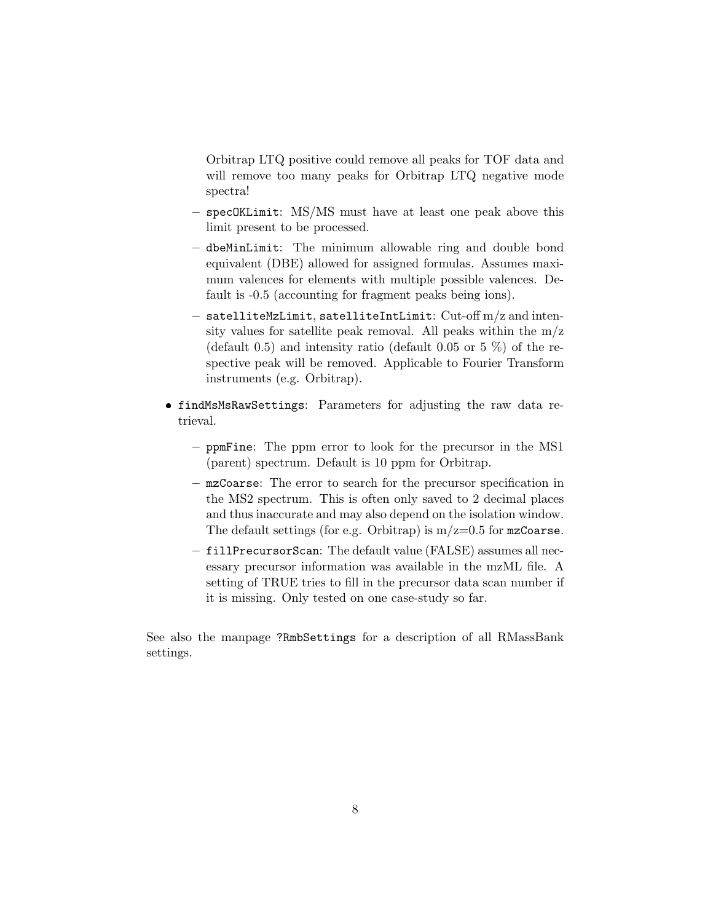Orbitrap LTQ positive could remove all peaks for TOF data and will remove too many peaks for Orbitrap LTQ negative mode spectra!

- specOKLimit: MS/MS must have at least one peak above this limit present to be processed.
- dbeMinLimit: The minimum allowable ring and double bond equivalent (DBE) allowed for assigned formulas. Assumes maximum valences for elements with multiple possible valences. Default is -0.5 (accounting for fragment peaks being ions).
- satelliteMzLimit, satelliteIntLimit:  $\mathrm{Cut\text{-}off\,m/z}$  and intensity values for satellite peak removal. All peaks within the  $m/z$ (default 0.5) and intensity ratio (default 0.05 or 5  $\%$ ) of the respective peak will be removed. Applicable to Fourier Transform instruments (e.g. Orbitrap).
- findMsMsRawSettings: Parameters for adjusting the raw data retrieval.
	- ppmFine: The ppm error to look for the precursor in the MS1 (parent) spectrum. Default is 10 ppm for Orbitrap.
	- mzCoarse: The error to search for the precursor specification in the MS2 spectrum. This is often only saved to 2 decimal places and thus inaccurate and may also depend on the isolation window. The default settings (for e.g. Orbitrap) is  $m/z=0.5$  for  $mzCoarse$ .
	- fillPrecursorScan: The default value (FALSE) assumes all necessary precursor information was available in the mzML file. A setting of TRUE tries to fill in the precursor data scan number if it is missing. Only tested on one case-study so far.

See also the manpage ?RmbSettings for a description of all RMassBank settings.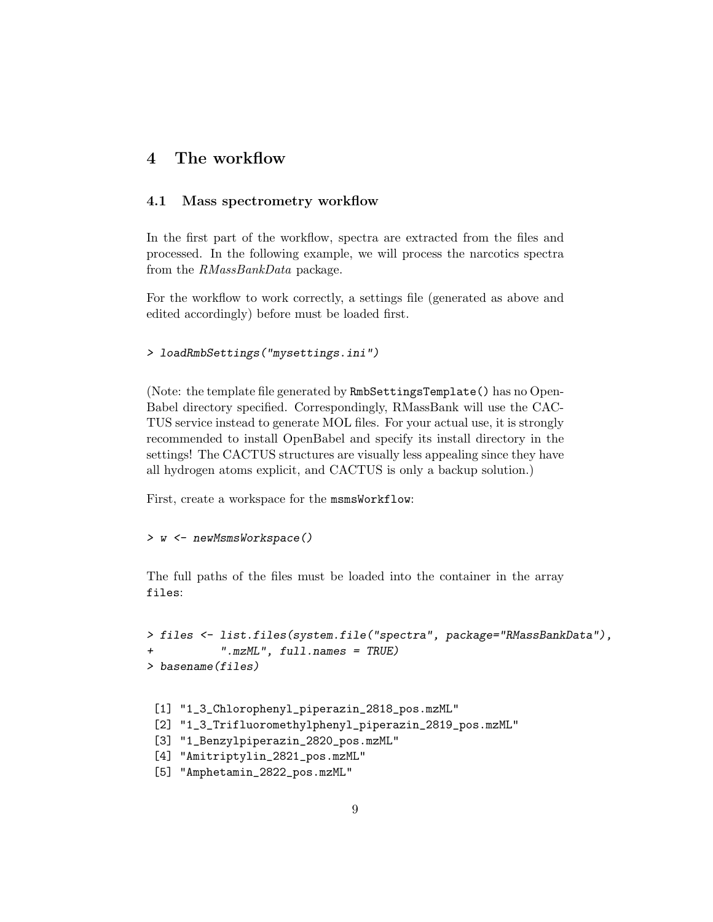### <span id="page-8-0"></span>4 The workflow

### <span id="page-8-1"></span>4.1 Mass spectrometry workflow

In the first part of the workflow, spectra are extracted from the files and processed. In the following example, we will process the narcotics spectra from the RMassBankData package.

For the workflow to work correctly, a settings file (generated as above and edited accordingly) before must be loaded first.

```
> loadRmbSettings("mysettings.ini")
```
(Note: the template file generated by RmbSettingsTemplate() has no Open-Babel directory specified. Correspondingly, RMassBank will use the CAC-TUS service instead to generate MOL files. For your actual use, it is strongly recommended to install OpenBabel and specify its install directory in the settings! The CACTUS structures are visually less appealing since they have all hydrogen atoms explicit, and CACTUS is only a backup solution.)

First, create a workspace for the msmsWorkflow:

#### > w <- newMsmsWorkspace()

The full paths of the files must be loaded into the container in the array files:

```
> files <- list.files(system.file("spectra", package="RMassBankData"),
           ''.mmML", full.names = TRUE)> basename(files)
```

```
[1] "1_3_Chlorophenyl_piperazin_2818_pos.mzML"
```

```
[2] "1_3_Trifluoromethylphenyl_piperazin_2819_pos.mzML"
```

```
[3] "1_Benzylpiperazin_2820_pos.mzML"
```
- [4] "Amitriptylin\_2821\_pos.mzML"
- [5] "Amphetamin\_2822\_pos.mzML"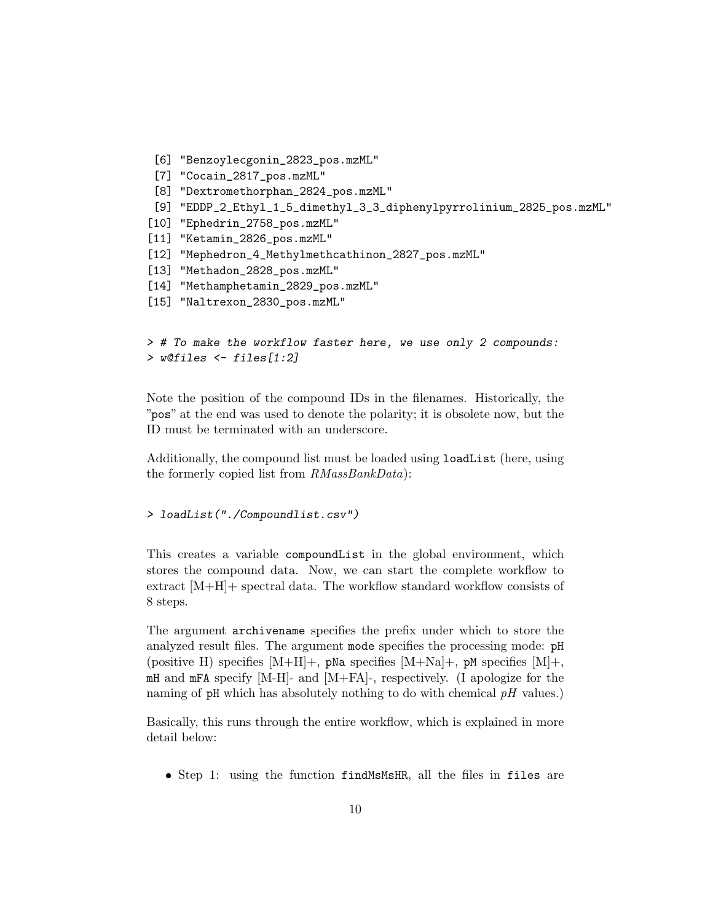```
[6] "Benzoylecgonin_2823_pos.mzML"
 [7] "Cocain_2817_pos.mzML"
 [8] "Dextromethorphan_2824_pos.mzML"
 [9] "EDDP_2_Ethyl_1_5_dimethyl_3_3_diphenylpyrrolinium_2825_pos.mzML"
[10] "Ephedrin_2758_pos.mzML"
[11] "Ketamin_2826_pos.mzML"
[12] "Mephedron_4_Methylmethcathinon_2827_pos.mzML"
[13] "Methadon_2828_pos.mzML"
[14] "Methamphetamin_2829_pos.mzML"
[15] "Naltrexon_2830_pos.mzML"
```

```
> # To make the workflow faster here, we use only 2 compounds:
> w@files <- files[1:2]
```
Note the position of the compound IDs in the filenames. Historically, the "pos" at the end was used to denote the polarity; it is obsolete now, but the ID must be terminated with an underscore.

Additionally, the compound list must be loaded using loadList (here, using the formerly copied list from  $RMassBankData$ :

```
> loadList("./Compoundlist.csv")
```
This creates a variable compoundList in the global environment, which stores the compound data. Now, we can start the complete workflow to extract [M+H]+ spectral data. The workflow standard workflow consists of 8 steps.

The argument archivename specifies the prefix under which to store the analyzed result files. The argument mode specifies the processing mode: pH (positive H) specifies  $[M+H]+$ , pNa specifies  $[M+Na]+$ , pM specifies  $[M]+$ , mH and mFA specify [M-H]- and [M+FA]-, respectively. (I apologize for the naming of  $pH$  which has absolutely nothing to do with chemical  $pH$  values.)

Basically, this runs through the entire workflow, which is explained in more detail below:

Step 1: using the function findMsMsHR, all the files in files are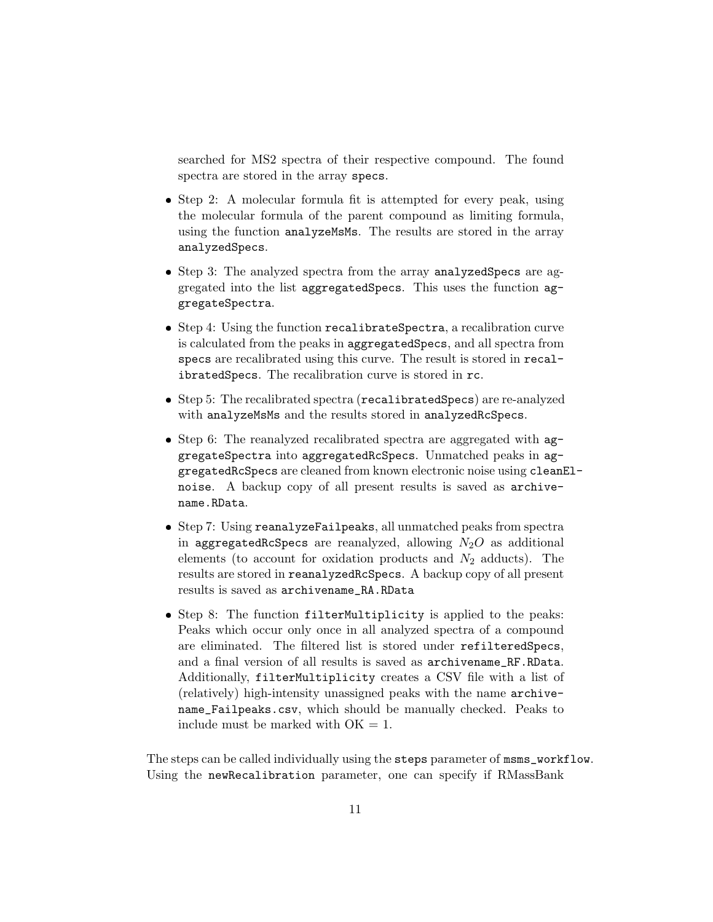searched for MS2 spectra of their respective compound. The found spectra are stored in the array specs.

- Step 2: A molecular formula fit is attempted for every peak, using the molecular formula of the parent compound as limiting formula, using the function analyzeMsMs. The results are stored in the array analyzedSpecs.
- Step 3: The analyzed spectra from the array analyzedSpecs are aggregated into the list aggregatedSpecs. This uses the function aggregateSpectra.
- Step 4: Using the function recalibrateSpectra, a recalibration curve is calculated from the peaks in aggregatedSpecs, and all spectra from specs are recalibrated using this curve. The result is stored in recalibratedSpecs. The recalibration curve is stored in rc.
- Step 5: The recalibrated spectra (recalibratedSpecs) are re-analyzed with analyzeMsMs and the results stored in analyzedRcSpecs.
- Step 6: The reanalyzed recalibrated spectra are aggregated with  $ag$ gregateSpectra into aggregatedRcSpecs. Unmatched peaks in aggregatedRcSpecs are cleaned from known electronic noise using cleanElnoise. A backup copy of all present results is saved as archivename.RData.
- Step 7: Using reanalyzeFailpeaks, all unmatched peaks from spectra in aggregatedRcSpecs are reanalyzed, allowing  $N_2O$  as additional elements (to account for oxidation products and  $N_2$  adducts). The results are stored in reanalyzedRcSpecs. A backup copy of all present results is saved as archivename\_RA.RData
- Step 8: The function filterMultiplicity is applied to the peaks: Peaks which occur only once in all analyzed spectra of a compound are eliminated. The filtered list is stored under refilteredSpecs, and a final version of all results is saved as archivename\_RF.RData. Additionally, filterMultiplicity creates a CSV file with a list of (relatively) high-intensity unassigned peaks with the name archivename\_Failpeaks.csv, which should be manually checked. Peaks to include must be marked with  $OK = 1$ .

The steps can be called individually using the steps parameter of msms\_workflow. Using the newRecalibration parameter, one can specify if RMassBank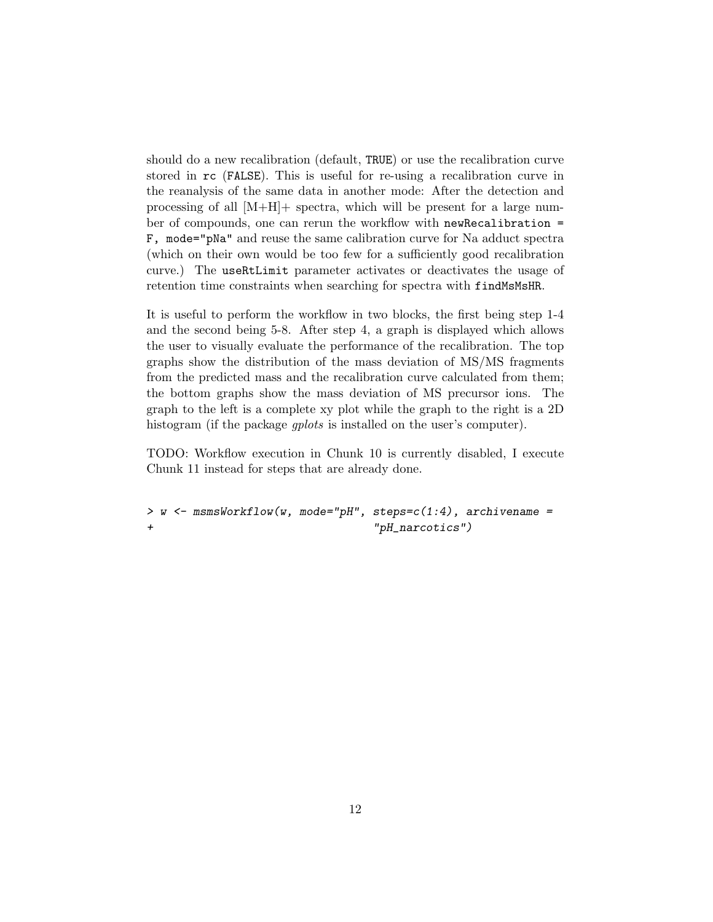should do a new recalibration (default, TRUE) or use the recalibration curve stored in rc (FALSE). This is useful for re-using a recalibration curve in the reanalysis of the same data in another mode: After the detection and processing of all [M+H]+ spectra, which will be present for a large number of compounds, one can rerun the workflow with newRecalibration = F, mode="pNa" and reuse the same calibration curve for Na adduct spectra (which on their own would be too few for a sufficiently good recalibration curve.) The useRtLimit parameter activates or deactivates the usage of retention time constraints when searching for spectra with findMsMsHR.

It is useful to perform the workflow in two blocks, the first being step 1-4 and the second being 5-8. After step 4, a graph is displayed which allows the user to visually evaluate the performance of the recalibration. The top graphs show the distribution of the mass deviation of MS/MS fragments from the predicted mass and the recalibration curve calculated from them; the bottom graphs show the mass deviation of MS precursor ions. The graph to the left is a complete xy plot while the graph to the right is a 2D histogram (if the package *qplots* is installed on the user's computer).

TODO: Workflow execution in Chunk 10 is currently disabled, I execute Chunk 11 instead for steps that are already done.

 $>$  w  $<-$  msmsWorkflow(w, mode="pH", steps= $c(1:4)$ , archivename = + "pH\_narcotics")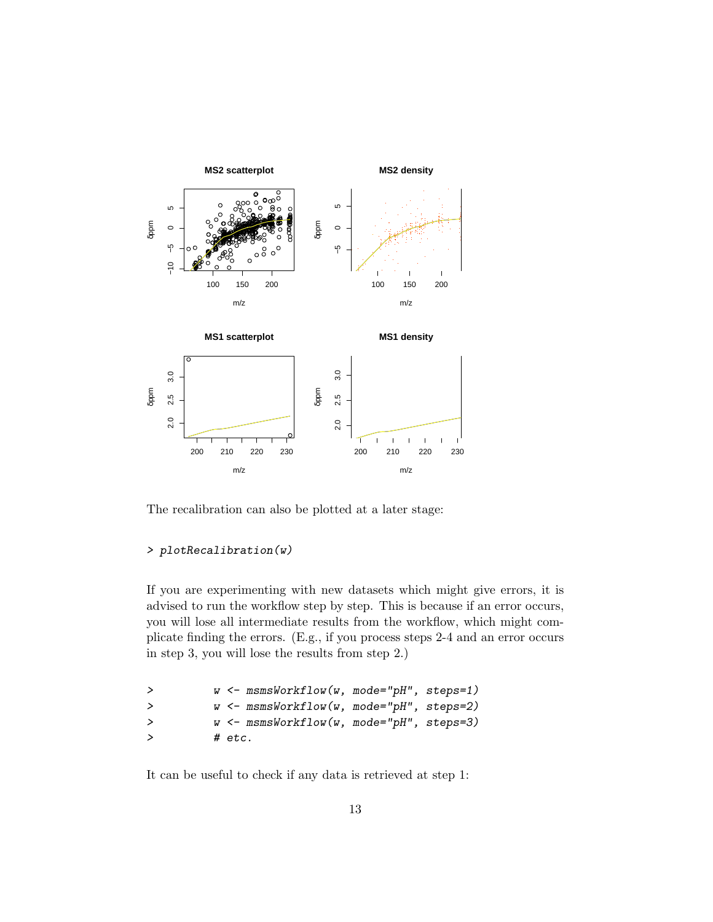

The recalibration can also be plotted at a later stage:

### > plotRecalibration(w)

If you are experimenting with new datasets which might give errors, it is advised to run the workflow step by step. This is because if an error occurs, you will lose all intermediate results from the workflow, which might complicate finding the errors. (E.g., if you process steps 2-4 and an error occurs in step 3, you will lose the results from step 2.)

| ゝ      | $w \leftarrow$ msmsWorkflow(w, mode="pH", steps=1) |
|--------|----------------------------------------------------|
| $\geq$ | $w \leftarrow$ msmsWorkflow(w, mode="pH", steps=2) |
| $\geq$ | $w \leftarrow$ msmsWorkflow(w, mode="pH", steps=3) |
| ゝ      | # etc.                                             |

It can be useful to check if any data is retrieved at step 1: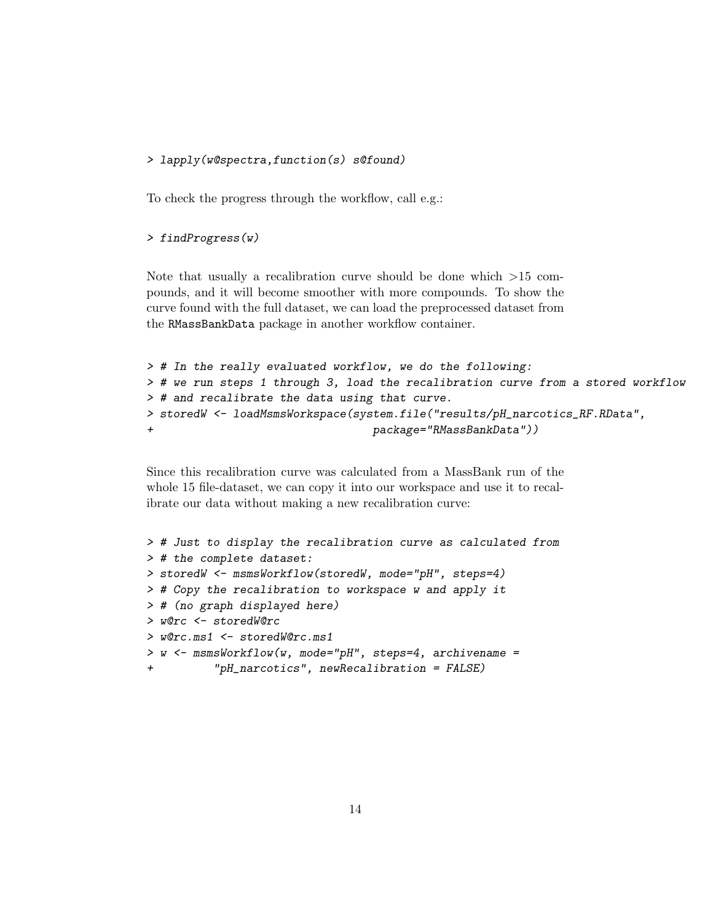#### > lapply(w@spectra,function(s) s@found)

To check the progress through the workflow, call e.g.:

#### > findProgress(w)

Note that usually a recalibration curve should be done which >15 compounds, and it will become smoother with more compounds. To show the curve found with the full dataset, we can load the preprocessed dataset from the RMassBankData package in another workflow container.

```
> # In the really evaluated workflow, we do the following:
> # we run steps 1 through 3, load the recalibration curve from a stored workflow
> # and recalibrate the data using that curve.
> storedW <- loadMsmsWorkspace(system.file("results/pH_narcotics_RF.RData",
+ package="RMassBankData"))
```
Since this recalibration curve was calculated from a MassBank run of the whole 15 file-dataset, we can copy it into our workspace and use it to recalibrate our data without making a new recalibration curve:

```
> # Just to display the recalibration curve as calculated from
> # the complete dataset:
> storedW <- msmsWorkflow(storedW, mode="pH", steps=4)
> # Copy the recalibration to workspace w and apply it
> # (no graph displayed here)
> w@rc <- storedW@rc
> w@rc.ms1 <- storedW@rc.ms1
> w <- msmsWorkflow(w, mode="pH", steps=4, archivename =
+ "pH_narcotics", newRecalibration = FALSE)
```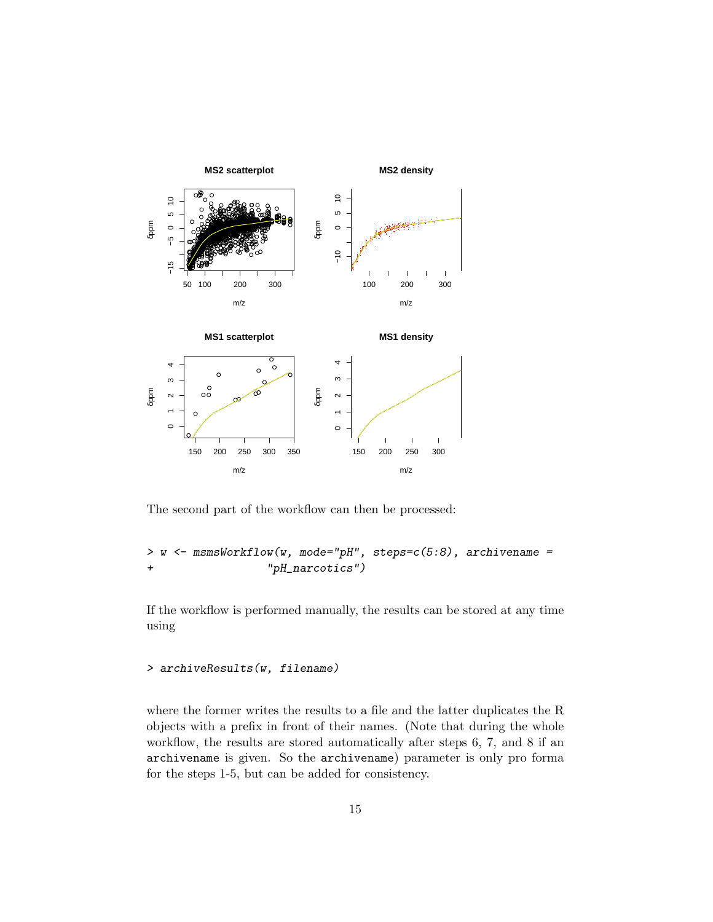

The second part of the workflow can then be processed:

```
\leftarrow msmsWorkflow(w, mode="pH", steps=c(5:8), archivename =
\, > \,W
                        "pH_narcotics")
\overline{1}
```
If the workflow is performed manually, the results can be stored at any time using

#### > archiveResults(w, filename)

where the former writes the results to a file and the latter duplicates the R objects with a prefix in front of their names. (Note that during the whole workflow, the results are stored automatically after steps  $6, 7$ , and  $8$  if an archivename is given. So the archivename) parameter is only pro forma for the steps 1-5, but can be added for consistency.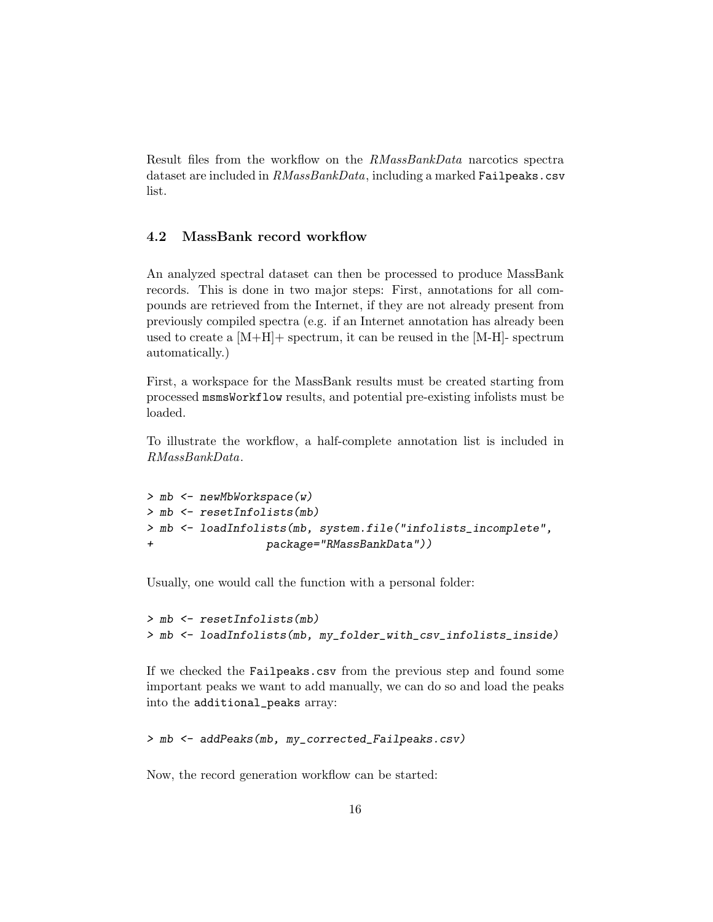Result files from the workflow on the RMassBankData narcotics spectra dataset are included in  $RMassBankData$ , including a marked Failpeaks.csv list.

### <span id="page-15-0"></span>4.2 MassBank record workflow

An analyzed spectral dataset can then be processed to produce MassBank records. This is done in two major steps: First, annotations for all compounds are retrieved from the Internet, if they are not already present from previously compiled spectra (e.g. if an Internet annotation has already been used to create a  $[M+H]$  spectrum, it can be reused in the  $[M-H]$ - spectrum automatically.)

First, a workspace for the MassBank results must be created starting from processed msmsWorkflow results, and potential pre-existing infolists must be loaded.

To illustrate the workflow, a half-complete annotation list is included in RMassBankData.

```
> mb <- newMbWorkspace(w)
> mb <- resetInfolists(mb)
> mb <- loadInfolists(mb, system.file("infolists_incomplete",
+ package="RMassBankData"))
```
Usually, one would call the function with a personal folder:

```
> mb <- resetInfolists(mb)
> mb <- loadInfolists(mb, my_folder_with_csv_infolists_inside)
```
If we checked the Failpeaks.csv from the previous step and found some important peaks we want to add manually, we can do so and load the peaks into the additional\_peaks array:

> mb <- addPeaks(mb, my\_corrected\_Failpeaks.csv)

Now, the record generation workflow can be started: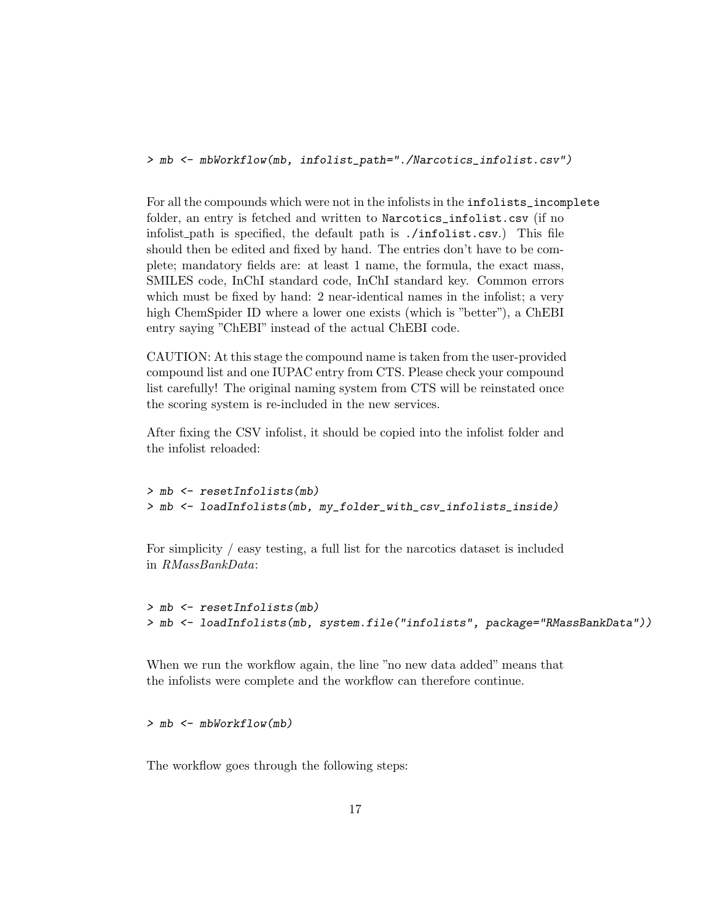> mb <- mbWorkflow(mb, infolist\_path="./Narcotics\_infolist.csv")

For all the compounds which were not in the infolists in the infolists\_incomplete folder, an entry is fetched and written to Narcotics\_infolist.csv (if no infolist path is specified, the default path is ./infolist.csv.) This file should then be edited and fixed by hand. The entries don't have to be complete; mandatory fields are: at least 1 name, the formula, the exact mass, SMILES code, InChI standard code, InChI standard key. Common errors which must be fixed by hand: 2 near-identical names in the infolist; a very high ChemSpider ID where a lower one exists (which is "better"), a ChEBI entry saying "ChEBI" instead of the actual ChEBI code.

CAUTION: At this stage the compound name is taken from the user-provided compound list and one IUPAC entry from CTS. Please check your compound list carefully! The original naming system from CTS will be reinstated once the scoring system is re-included in the new services.

After fixing the CSV infolist, it should be copied into the infolist folder and the infolist reloaded:

```
> mb <- resetInfolists(mb)
> mb <- loadInfolists(mb, my_folder_with_csv_infolists_inside)
```
For simplicity / easy testing, a full list for the narcotics dataset is included in RMassBankData:

```
> mb <- resetInfolists(mb)
> mb <- loadInfolists(mb, system.file("infolists", package="RMassBankData"))
```
When we run the workflow again, the line "no new data added" means that the infolists were complete and the workflow can therefore continue.

> mb <- mbWorkflow(mb)

The workflow goes through the following steps: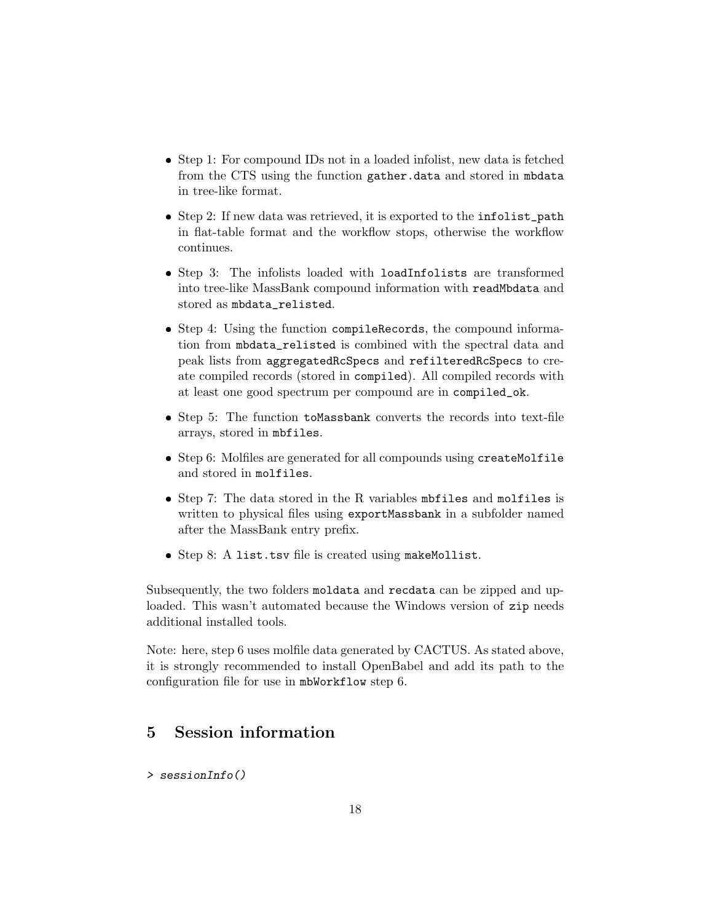- Step 1: For compound IDs not in a loaded infolist, new data is fetched from the CTS using the function gather.data and stored in mbdata in tree-like format.
- Step 2: If new data was retrieved, it is exported to the infolist\_path in flat-table format and the workflow stops, otherwise the workflow continues.
- Step 3: The infolists loaded with loadInfolists are transformed into tree-like MassBank compound information with readMbdata and stored as mbdata\_relisted.
- Step 4: Using the function compileRecords, the compound information from mbdata\_relisted is combined with the spectral data and peak lists from aggregatedRcSpecs and refilteredRcSpecs to create compiled records (stored in compiled). All compiled records with at least one good spectrum per compound are in compiled\_ok.
- Step 5: The function toMassbank converts the records into text-file arrays, stored in mbfiles.
- Step 6: Molfiles are generated for all compounds using createMolfile and stored in molfiles.
- Step 7: The data stored in the R variables mbfiles and molfiles is written to physical files using exportMassbank in a subfolder named after the MassBank entry prefix.
- Step 8: A list.tsv file is created using makeMollist.

Subsequently, the two folders moldata and recdata can be zipped and uploaded. This wasn't automated because the Windows version of zip needs additional installed tools.

Note: here, step 6 uses molfile data generated by CACTUS. As stated above, it is strongly recommended to install OpenBabel and add its path to the configuration file for use in mbWorkflow step 6.

### <span id="page-17-0"></span>5 Session information

> sessionInfo()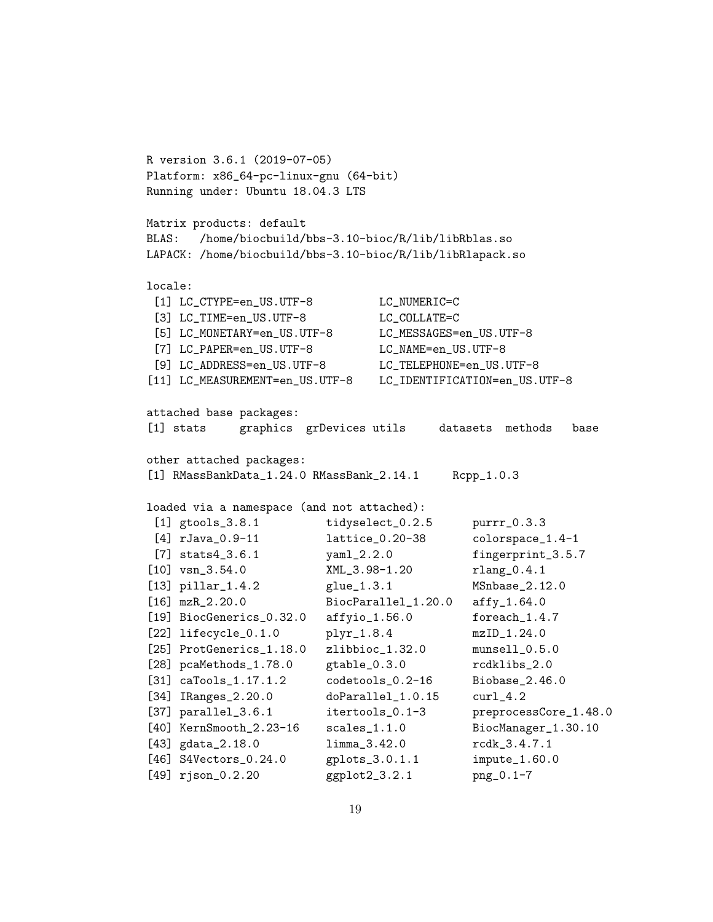```
R version 3.6.1 (2019-07-05)
Platform: x86_64-pc-linux-gnu (64-bit)
Running under: Ubuntu 18.04.3 LTS
Matrix products: default
BLAS: /home/biocbuild/bbs-3.10-bioc/R/lib/libRblas.so
LAPACK: /home/biocbuild/bbs-3.10-bioc/R/lib/libRlapack.so
locale:
 [1] LC_CTYPE=en_US.UTF-8 LC_NUMERIC=C
 [3] LC_TIME=en_US.UTF-8 LC_COLLATE=C
 [5] LC_MONETARY=en_US.UTF-8 LC_MESSAGES=en_US.UTF-8
 [7] LC_PAPER=en_US.UTF-8 LC_NAME=en_US.UTF-8
 [9] LC_ADDRESS=en_US.UTF-8 LC_TELEPHONE=en_US.UTF-8
[11] LC_MEASUREMENT=en_US.UTF-8 LC_IDENTIFICATION=en_US.UTF-8
attached base packages:
[1] stats graphics grDevices utils datasets methods base
other attached packages:
[1] RMassBankData_1.24.0 RMassBank_2.14.1 Rcpp_1.0.3
loaded via a namespace (and not attached):
 [1] gtools_3.8.1 tidyselect_0.2.5 purrr_0.3.3
 [4] rJava_0.9-11 lattice_0.20-38 colorspace_1.4-1
 [7] stats4_3.6.1 vam1_2.2.0 fingerprint_3.5.7
[10] vsn_3.54.0 XML_3.98-1.20 rlang_0.4.1
[13] pillar_1.4.2 glue_1.3.1 MSnbase_2.12.0
[16] mzR_2.20.0 BiocParallel_1.20.0 affy_1.64.0
[19] BiocGenerics_0.32.0 affyio_1.56.0 foreach_1.4.7
[22] lifecycle_0.1.0 plyr_1.8.4 mzID_1.24.0
[25] ProtGenerics_1.18.0 zlibbioc_1.32.0 munsell_0.5.0
[28] pcaMethods_1.78.0 gtable_0.3.0 rcdklibs_2.0
[31] caTools_1.17.1.2 codetools_0.2-16 Biobase_2.46.0
[34] IRanges_2.20.0 doParallel_1.0.15 curl_4.2
[37] parallel_3.6.1 itertools_0.1-3 preprocessCore_1.48.0
[40] KernSmooth_2.23-16 scales_1.1.0 BiocManager_1.30.10
[43] gdata_2.18.0 limma_3.42.0 rcdk_3.4.7.1
[46] S4Vectors_0.24.0 gplots_3.0.1.1 impute_1.60.0
[49] rjson_0.2.20 ggplot2_3.2.1 png_0.1-7
```